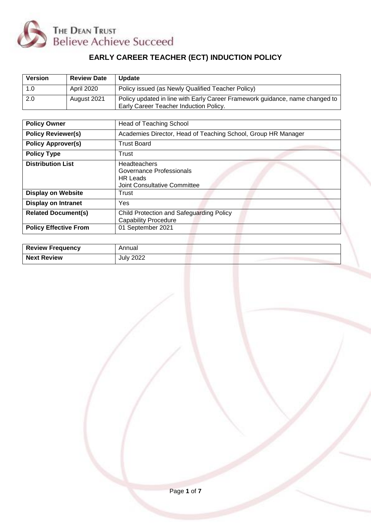

# **EARLY CAREER TEACHER (ECT) INDUCTION POLICY**

| <b>Version</b> | <b>Review Date</b> | <b>Update</b>                                                                                                          |
|----------------|--------------------|------------------------------------------------------------------------------------------------------------------------|
|                | April 2020         | Policy issued (as Newly Qualified Teacher Policy)                                                                      |
| 2.0            | August 2021        | Policy updated in line with Early Career Framework guidance, name changed to<br>Early Career Teacher Induction Policy. |

| <b>Policy Owner</b>          | <b>Head of Teaching School</b>                                                              |  |  |
|------------------------------|---------------------------------------------------------------------------------------------|--|--|
| <b>Policy Reviewer(s)</b>    | Academies Director, Head of Teaching School, Group HR Manager                               |  |  |
| <b>Policy Approver(s)</b>    | <b>Trust Board</b>                                                                          |  |  |
| <b>Policy Type</b>           | Trust                                                                                       |  |  |
| <b>Distribution List</b>     | Headteachers<br>Governance Professionals<br><b>HR Leads</b><br>Joint Consultative Committee |  |  |
| <b>Display on Website</b>    | Trust                                                                                       |  |  |
| <b>Display on Intranet</b>   | Yes                                                                                         |  |  |
| <b>Related Document(s)</b>   | Child Protection and Safeguarding Policy<br><b>Capability Procedure</b>                     |  |  |
| <b>Policy Effective From</b> | 01 September 2021                                                                           |  |  |

| <b>Review Frequency</b> | Annual    |  |
|-------------------------|-----------|--|
| <b>Next Review</b>      | July 2022 |  |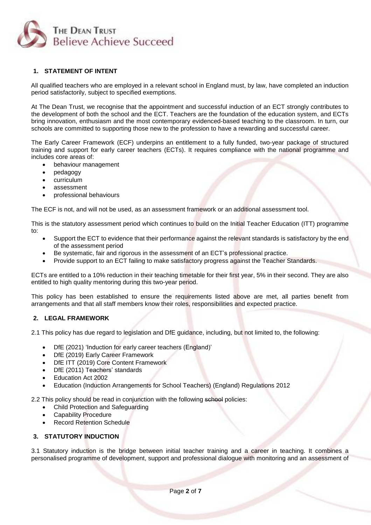

# **1. STATEMENT OF INTENT**

 All qualified teachers who are employed in a relevant school in England must, by law, have completed an induction period satisfactorily, subject to specified exemptions.

At The Dean Trust, we recognise that the appointment and successful induction of an ECT strongly contributes to the development of both the school and the ECT. Teachers are the foundation of the education system, and ECTs bring innovation, enthusiasm and the most contemporary evidenced-based teaching to the classroom. In turn, our schools are committed to supporting those new to the profession to have a rewarding and successful career.

The Early Career Framework (ECF) underpins an entitlement to a fully funded, two-year package of structured training and support for early career teachers (ECTs). It requires compliance with the national programme and includes core areas of:

- behaviour management
- pedagogy
- curriculum
- assessment
- professional behaviours

The ECF is not, and will not be used, as an assessment framework or an additional assessment tool.

This is the statutory assessment period which continues to build on the Initial Teacher Education (ITT) programme to:

- Support the ECT to evidence that their performance against the relevant standards is satisfactory by the end of the assessment period
- Be systematic, fair and rigorous in the assessment of an ECT's professional practice.
- Provide support to an ECT failing to make satisfactory progress against the Teacher Standards.

ECTs are entitled to a 10% reduction in their teaching timetable for their first year, 5% in their second. They are also entitled to high quality mentoring during this two-year period.

This policy has been established to ensure the requirements listed above are met, all parties benefit from arrangements and that all staff members know their roles, responsibilities and expected practice.

## **2. LEGAL FRAMEWORK**

2.1 This policy has due regard to legislation and DfE guidance, including, but not limited to, the following:

- DfE (2021) 'Induction for early career teachers (England)'
- DfE (2019) Early Career Framework
- DfE ITT (2019) Core Content Framework
- DfE (2011) Teachers' standards
- Education Act 2002
- Education (Induction Arrangements for School Teachers) (England) Regulations 2012

2.2 This policy should be read in conjunction with the following school policies:

- Child Protection and Safeguarding
- Capability Procedure
- Record Retention Schedule

## **3. STATUTORY INDUCTION**

3.1 Statutory induction is the bridge between initial teacher training and a career in teaching. It combines a personalised programme of development, support and professional dialogue with monitoring and an assessment of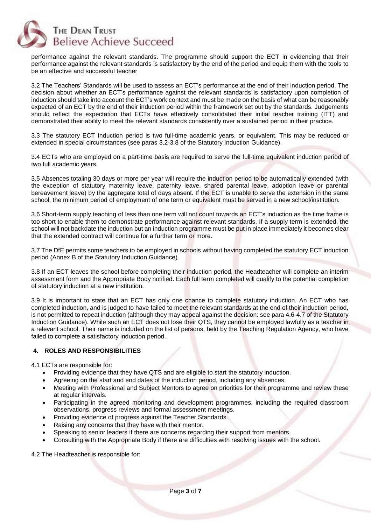

performance against the relevant standards. The programme should support the ECT in evidencing that their performance against the relevant standards is satisfactory by the end of the period and equip them with the tools to be an effective and successful teacher

3.2 The Teachers' Standards will be used to assess an ECT's performance at the end of their induction period. The decision about whether an ECT's performance against the relevant standards is satisfactory upon completion of induction should take into account the ECT's work context and must be made on the basis of what can be reasonably expected of an ECT by the end of their induction period within the framework set out by the standards. Judgements should reflect the expectation that ECTs have effectively consolidated their initial teacher training (ITT) and demonstrated their ability to meet the relevant standards consistently over a sustained period in their practice.

3.3 The statutory ECT Induction period is two full-time academic years, or equivalent. This may be reduced or extended in special circumstances (see paras 3.2-3.8 of the Statutory Induction Guidance).

3.4 ECTs who are employed on a part-time basis are required to serve the full-time equivalent induction period of two full academic years.

3.5 Absences totaling 30 days or more per year will require the induction period to be automatically extended (with the exception of statutory maternity leave, paternity leave, shared parental leave, adoption leave or parental bereavement leave) by the aggregate total of days absent. If the ECT is unable to serve the extension in the same school, the minimum period of employment of one term or equivalent must be served in a new school/institution.

3.6 Short-term supply teaching of less than one term will not count towards an ECT's induction as the time frame is too short to enable them to demonstrate performance against relevant standards. If a supply term is extended, the school will not backdate the induction but an induction programme must be put in place immediately it becomes clear that the extended contract will continue for a further term or more.

3.7 The DfE permits some teachers to be employed in schools without having completed the statutory ECT induction period (Annex B of the Statutory Induction Guidance).

3.8 If an ECT leaves the school before completing their induction period, the Headteacher will complete an interim assessment form and the Appropriate Body notified. Each full term completed will qualify to the potential completion of statutory induction at a new institution.

3.9 It is important to state that an ECT has only one chance to complete statutory induction. An ECT who has completed induction, and is judged to have failed to meet the relevant standards at the end of their induction period, is not permitted to repeat induction (although they may appeal against the decision: see para 4.6-4.7 of the Statutory Induction Guidance). While such an ECT does not lose their QTS, they cannot be employed lawfully as a teacher in a relevant school. Their name is included on the list of persons, held by the Teaching Regulation Agency, who have failed to complete a satisfactory induction period.

# **4. ROLES AND RESPONSIBILITIES**

4.1 ECTs are responsible for:

- Providing evidence that they have QTS and are eligible to start the statutory induction.
- Agreeing on the start and end dates of the induction period, including any absences.
- Meeting with Professional and Subject Mentors to agree on priorities for their programme and review these at regular intervals.
- Participating in the agreed monitoring and development programmes, including the required classroom observations, progress reviews and formal assessment meetings.
- Providing evidence of progress against the Teacher Standards.
- Raising any concerns that they have with their mentor.
- Speaking to senior leaders if there are concerns regarding their support from mentors.
- Consulting with the Appropriate Body if there are difficulties with resolving issues with the school.

4.2 The Headteacher is responsible for: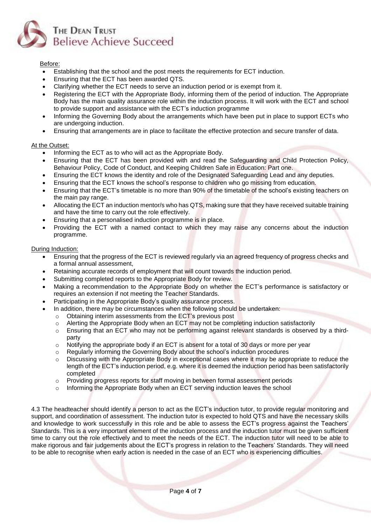

## Before:

- Establishing that the school and the post meets the requirements for ECT induction.
- Ensuring that the ECT has been awarded QTS.
- Clarifying whether the ECT needs to serve an induction period or is exempt from it.
- Registering the ECT with the Appropriate Body, informing them of the period of induction. The Appropriate Body has the main quality assurance role within the induction process. It will work with the ECT and school to provide support and assistance with the ECT's induction programme
- Informing the Governing Body about the arrangements which have been put in place to support ECTs who are undergoing induction.
- Ensuring that arrangements are in place to facilitate the effective protection and secure transfer of data.

#### At the Outset:

- Informing the ECT as to who will act as the Appropriate Body.
- Ensuring that the ECT has been provided with and read the Safeguarding and Child Protection Policy, Behaviour Policy, Code of Conduct, and Keeping Children Safe in Education: Part one.
- Ensuring the ECT knows the identity and role of the Designated Safeguarding Lead and any deputies.
- Ensuring that the ECT knows the school's response to children who go missing from education.
- Ensuring that the ECT's timetable is no more than 90% of the timetable of the school's existing teachers on the main pay range.
- Allocating the ECT an induction mentor/s who has QTS, making sure that they have received suitable training and have the time to carry out the role effectively.
- Ensuring that a personalised induction programme is in place.
- Providing the ECT with a named contact to which they may raise any concerns about the induction programme.

#### During Induction:

- Ensuring that the progress of the ECT is reviewed regularly via an agreed frequency of progress checks and a formal annual assessment,
- Retaining accurate records of employment that will count towards the induction period.
- Submitting completed reports to the Appropriate Body for review.
- Making a recommendation to the Appropriate Body on whether the ECT's performance is satisfactory or requires an extension if not meeting the Teacher Standards.
- Participating in the Appropriate Body's quality assurance process.
- In addition, there may be circumstances when the following should be undertaken:
	- o Obtaining interim assessments from the ECT's previous post
	- $\circ$  Alerting the Appropriate Body when an ECT may not be completing induction satisfactorily
	- o Ensuring that an ECT who may not be performing against relevant standards is observed by a thirdparty
	- $\circ$  Notifying the appropriate body if an ECT is absent for a total of 30 days or more per year
	- $\circ$  Regularly informing the Governing Body about the school's induction procedures
	- o Discussing with the Appropriate Body in exceptional cases where it may be appropriate to reduce the length of the ECT's induction period, e.g. where it is deemed the induction period has been satisfactorily completed
	- o Providing progress reports for staff moving in between formal assessment periods<br>
	o Informing the Appropriate Body when an ECT serving induction leaves the school
	- Informing the Appropriate Body when an ECT serving induction leaves the school

4.3 The headteacher should identify a person to act as the ECT's induction tutor, to provide regular monitoring and support, and coordination of assessment. The induction tutor is expected to hold QTS and have the necessary skills and knowledge to work successfully in this role and be able to assess the ECT's progress against the Teachers' Standards. This is a very important element of the induction process and the induction tutor must be given sufficient time to carry out the role effectively and to meet the needs of the ECT. The induction tutor will need to be able to make rigorous and fair judgements about the ECT's progress in relation to the Teachers' Standards. They will need to be able to recognise when early action is needed in the case of an ECT who is experiencing difficulties.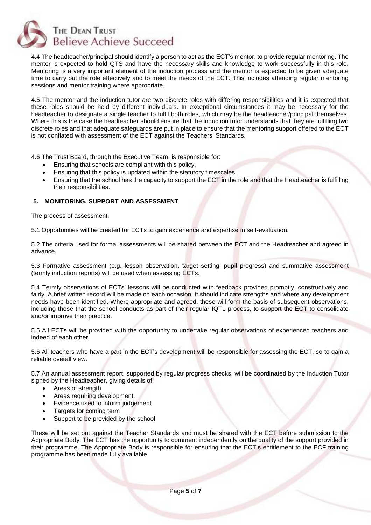

4.4 The headteacher/principal should identify a person to act as the ECT's mentor, to provide regular mentoring. The mentor is expected to hold QTS and have the necessary skills and knowledge to work successfully in this role. Mentoring is a very important element of the induction process and the mentor is expected to be given adequate time to carry out the role effectively and to meet the needs of the ECT. This includes attending regular mentoring sessions and mentor training where appropriate.

4.5 The mentor and the induction tutor are two discrete roles with differing responsibilities and it is expected that these roles should be held by different individuals. In exceptional circumstances it may be necessary for the headteacher to designate a single teacher to fulfil both roles, which may be the headteacher/principal themselves. Where this is the case the headteacher should ensure that the induction tutor understands that they are fulfilling two discrete roles and that adequate safeguards are put in place to ensure that the mentoring support offered to the ECT is not conflated with assessment of the ECT against the Teachers' Standards.

4.6 The Trust Board, through the Executive Team, is responsible for:

- Ensuring that schools are compliant with this policy.
- Ensuring that this policy is updated within the statutory timescales.
- Ensuring that the school has the capacity to support the ECT in the role and that the Headteacher is fulfilling their responsibilities.

## **5. MONITORING, SUPPORT AND ASSESSMENT**

The process of assessment:

5.1 Opportunities will be created for ECTs to gain experience and expertise in self-evaluation.

5.2 The criteria used for formal assessments will be shared between the ECT and the Headteacher and agreed in advance.

5.3 Formative assessment (e.g. lesson observation, target setting, pupil progress) and summative assessment (termly induction reports) will be used when assessing ECTs.

5.4 Termly observations of ECTs' lessons will be conducted with feedback provided promptly, constructively and fairly. A brief written record will be made on each occasion. It should indicate strengths and where any development needs have been identified. Where appropriate and agreed, these will form the basis of subsequent observations, including those that the school conducts as part of their regular IQTL process, to support the ECT to consolidate and/or improve their practice.

5.5 All ECTs will be provided with the opportunity to undertake regular observations of experienced teachers and indeed of each other.

5.6 All teachers who have a part in the ECT's development will be responsible for assessing the ECT, so to gain a reliable overall view.

5.7 An annual assessment report, supported by regular progress checks, will be coordinated by the Induction Tutor signed by the Headteacher, giving details of:

- Areas of strength
- Areas requiring development.
- Evidence used to inform judgement
- Targets for coming term
- Support to be provided by the school.

These will be set out against the Teacher Standards and must be shared with the ECT before submission to the Appropriate Body. The ECT has the opportunity to comment independently on the quality of the support provided in their programme. The Appropriate Body is responsible for ensuring that the ECT's entitlement to the ECF training programme has been made fully available.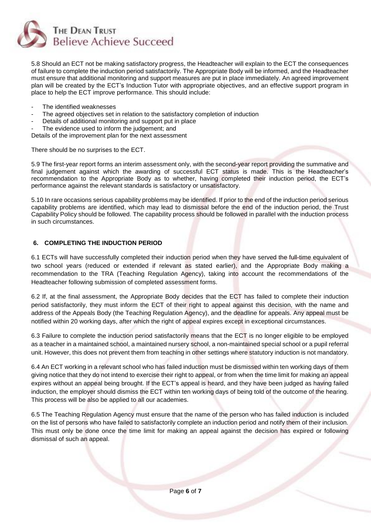

5.8 Should an ECT not be making satisfactory progress, the Headteacher will explain to the ECT the consequences of failure to complete the induction period satisfactorily. The Appropriate Body will be informed, and the Headteacher must ensure that additional monitoring and support measures are put in place immediately. An agreed improvement plan will be created by the ECT's Induction Tutor with appropriate objectives, and an effective support program in place to help the ECT improve performance. This should include:

- The identified weaknesses
- The agreed objectives set in relation to the satisfactory completion of induction
- Details of additional monitoring and support put in place
- The evidence used to inform the judgement; and

Details of the improvement plan for the next assessment

There should be no surprises to the ECT.

5.9 The first-year report forms an interim assessment only, with the second-year report providing the summative and final judgement against which the awarding of successful ECT status is made. This is the Headteacher's recommendation to the Appropriate Body as to whether, having completed their induction period, the ECT's performance against the relevant standards is satisfactory or unsatisfactory.

5.10 In rare occasions serious capability problems may be identified. If prior to the end of the induction period serious capability problems are identified, which may lead to dismissal before the end of the induction period, the Trust Capability Policy should be followed. The capability process should be followed in parallel with the induction process in such circumstances.

## **6. COMPLETING THE INDUCTION PERIOD**

6.1 ECTs will have successfully completed their induction period when they have served the full-time equivalent of two school years (reduced or extended if relevant as stated earlier), and the Appropriate Body making a recommendation to the TRA (Teaching Regulation Agency), taking into account the recommendations of the Headteacher following submission of completed assessment forms.

6.2 If, at the final assessment, the Appropriate Body decides that the ECT has failed to complete their induction period satisfactorily, they must inform the ECT of their right to appeal against this decision, with the name and address of the Appeals Body (the Teaching Regulation Agency), and the deadline for appeals. Any appeal must be notified within 20 working days, after which the right of appeal expires except in exceptional circumstances.

6.3 Failure to complete the induction period satisfactorily means that the ECT is no longer eligible to be employed as a teacher in a maintained school, a maintained nursery school, a non-maintained special school or a pupil referral unit. However, this does not prevent them from teaching in other settings where statutory induction is not mandatory.

6.4 An ECT working in a relevant school who has failed induction must be dismissed within ten working days of them giving notice that they do not intend to exercise their right to appeal, or from when the time limit for making an appeal expires without an appeal being brought. If the ECT's appeal is heard, and they have been judged as having failed induction, the employer should dismiss the ECT within ten working days of being told of the outcome of the hearing. This process will be also be applied to all our academies.

6.5 The Teaching Regulation Agency must ensure that the name of the person who has failed induction is included on the list of persons who have failed to satisfactorily complete an induction period and notify them of their inclusion. This must only be done once the time limit for making an appeal against the decision has expired or following dismissal of such an appeal.